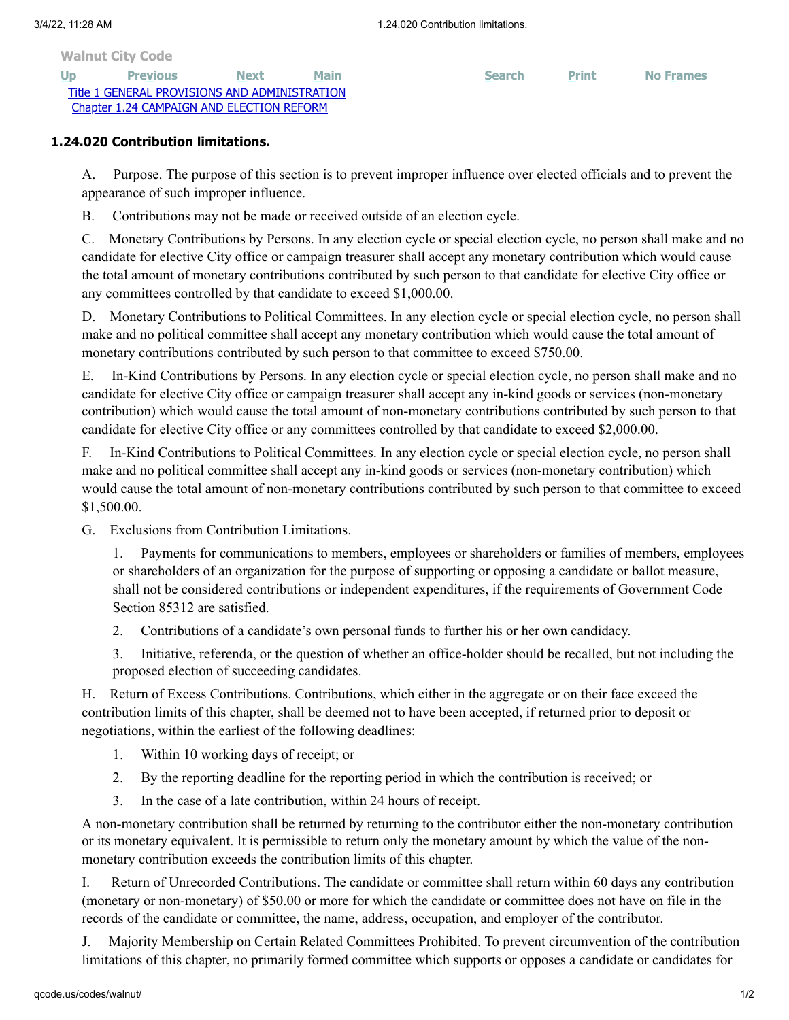**[Walnut City Code](http://qcode.us/codes/walnut/view.php?&frames=on)**

**[Up](http://qcode.us/codes/walnut/view.php?topic=1-1_24&frames=on) [Previous](http://qcode.us/codes/walnut/view.php?topic=1-1_24-1_24_010&frames=on) [Next](http://qcode.us/codes/walnut/view.php?topic=1-1_24-1_24_030&frames=on) [Main](http://qcode.us/codes/walnut/view.php?frames=on) [Search](http://qcode.us/codes/walnut/search.php?frames=on) [Print](javascript:self.print();) [No Frames](http://qcode.us/codes/walnut/view.php?topic=1-1_24-1_24_020&frames=off)** [Title 1 GENERAL PROVISIONS AND ADMINISTRATION](http://qcode.us/codes/walnut/view.php?topic=1&frames=on) [Chapter 1.24 CAMPAIGN AND ELECTION REFORM](http://qcode.us/codes/walnut/view.php?topic=1-1_24&frames=on)

## **1.24.020 Contribution limitations.**

A. Purpose. The purpose of this section is to prevent improper influence over elected officials and to prevent the appearance of such improper influence.

B. Contributions may not be made or received outside of an election cycle.

C. Monetary Contributions by Persons. In any election cycle or special election cycle, no person shall make and no candidate for elective City office or campaign treasurer shall accept any monetary contribution which would cause the total amount of monetary contributions contributed by such person to that candidate for elective City office or any committees controlled by that candidate to exceed \$1,000.00.

D. Monetary Contributions to Political Committees. In any election cycle or special election cycle, no person shall make and no political committee shall accept any monetary contribution which would cause the total amount of monetary contributions contributed by such person to that committee to exceed \$750.00.

E. In-Kind Contributions by Persons. In any election cycle or special election cycle, no person shall make and no candidate for elective City office or campaign treasurer shall accept any in-kind goods or services (non-monetary contribution) which would cause the total amount of non-monetary contributions contributed by such person to that candidate for elective City office or any committees controlled by that candidate to exceed \$2,000.00.

F. In-Kind Contributions to Political Committees. In any election cycle or special election cycle, no person shall make and no political committee shall accept any in-kind goods or services (non-monetary contribution) which would cause the total amount of non-monetary contributions contributed by such person to that committee to exceed \$1,500.00.

G. Exclusions from Contribution Limitations.

1. Payments for communications to members, employees or shareholders or families of members, employees or shareholders of an organization for the purpose of supporting or opposing a candidate or ballot measure, shall not be considered contributions or independent expenditures, if the requirements of Government Code Section 85312 are satisfied.

2. Contributions of a candidate's own personal funds to further his or her own candidacy.

3. Initiative, referenda, or the question of whether an office-holder should be recalled, but not including the proposed election of succeeding candidates.

H. Return of Excess Contributions. Contributions, which either in the aggregate or on their face exceed the contribution limits of this chapter, shall be deemed not to have been accepted, if returned prior to deposit or negotiations, within the earliest of the following deadlines:

- 1. Within 10 working days of receipt; or
- 2. By the reporting deadline for the reporting period in which the contribution is received; or
- 3. In the case of a late contribution, within 24 hours of receipt.

A non-monetary contribution shall be returned by returning to the contributor either the non-monetary contribution or its monetary equivalent. It is permissible to return only the monetary amount by which the value of the nonmonetary contribution exceeds the contribution limits of this chapter.

I. Return of Unrecorded Contributions. The candidate or committee shall return within 60 days any contribution (monetary or non-monetary) of \$50.00 or more for which the candidate or committee does not have on file in the records of the candidate or committee, the name, address, occupation, and employer of the contributor.

J. Majority Membership on Certain Related Committees Prohibited. To prevent circumvention of the contribution limitations of this chapter, no primarily formed committee which supports or opposes a candidate or candidates for